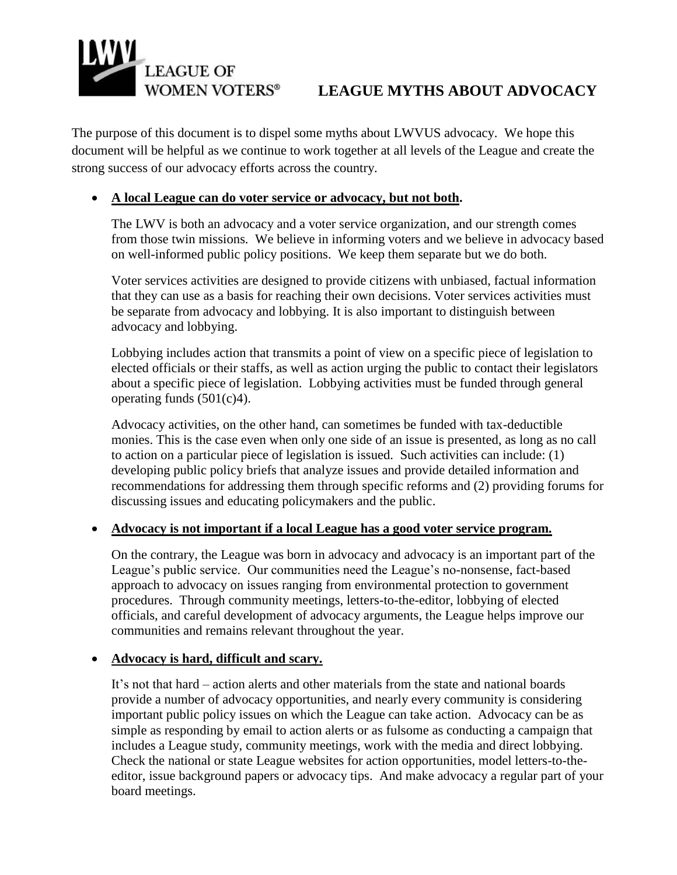# **LEAGUE OF**

# **LEAGUE MYTHS ABOUT ADVOCACY**

The purpose of this document is to dispel some myths about LWVUS advocacy. We hope this document will be helpful as we continue to work together at all levels of the League and create the strong success of our advocacy efforts across the country.

# **A local League can do voter service or advocacy, but not both.**

The LWV is both an advocacy and a voter service organization, and our strength comes from those twin missions. We believe in informing voters and we believe in advocacy based on well-informed public policy positions. We keep them separate but we do both.

Voter services activities are designed to provide citizens with unbiased, factual information that they can use as a basis for reaching their own decisions. Voter services activities must be separate from advocacy and lobbying. It is also important to distinguish between advocacy and lobbying.

Lobbying includes action that transmits a point of view on a specific piece of legislation to elected officials or their staffs, as well as action urging the public to contact their legislators about a specific piece of legislation. Lobbying activities must be funded through general operating funds (501(c)4).

Advocacy activities, on the other hand, can sometimes be funded with tax-deductible monies. This is the case even when only one side of an issue is presented, as long as no call to action on a particular piece of legislation is issued. Such activities can include: (1) developing public policy briefs that analyze issues and provide detailed information and recommendations for addressing them through specific reforms and (2) providing forums for discussing issues and educating policymakers and the public.

# **Advocacy is not important if a local League has a good voter service program.**

On the contrary, the League was born in advocacy and advocacy is an important part of the League's public service. Our communities need the League's no-nonsense, fact-based approach to advocacy on issues ranging from environmental protection to government procedures. Through community meetings, letters-to-the-editor, lobbying of elected officials, and careful development of advocacy arguments, the League helps improve our communities and remains relevant throughout the year.

# **Advocacy is hard, difficult and scary.**

It's not that hard – action alerts and other materials from the state and national boards provide a number of advocacy opportunities, and nearly every community is considering important public policy issues on which the League can take action. Advocacy can be as simple as responding by email to action alerts or as fulsome as conducting a campaign that includes a League study, community meetings, work with the media and direct lobbying. Check the national or state League websites for action opportunities, model letters-to-theeditor, issue background papers or advocacy tips. And make advocacy a regular part of your board meetings.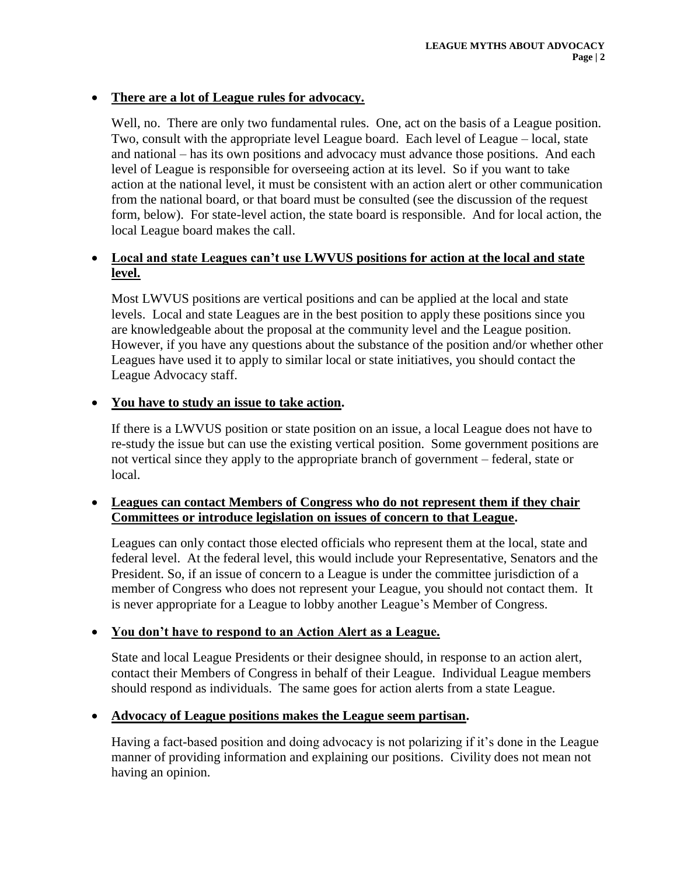# **There are a lot of League rules for advocacy.**

Well, no. There are only two fundamental rules. One, act on the basis of a League position. Two, consult with the appropriate level League board. Each level of League – local, state and national – has its own positions and advocacy must advance those positions. And each level of League is responsible for overseeing action at its level. So if you want to take action at the national level, it must be consistent with an action alert or other communication from the national board, or that board must be consulted (see the discussion of the request form, below). For state-level action, the state board is responsible. And for local action, the local League board makes the call.

# **Local and state Leagues can't use LWVUS positions for action at the local and state level.**

Most LWVUS positions are vertical positions and can be applied at the local and state levels. Local and state Leagues are in the best position to apply these positions since you are knowledgeable about the proposal at the community level and the League position. However, if you have any questions about the substance of the position and/or whether other Leagues have used it to apply to similar local or state initiatives, you should contact the League Advocacy staff.

# **You have to study an issue to take action.**

If there is a LWVUS position or state position on an issue, a local League does not have to re-study the issue but can use the existing vertical position. Some government positions are not vertical since they apply to the appropriate branch of government – federal, state or local.

# **Leagues can contact Members of Congress who do not represent them if they chair Committees or introduce legislation on issues of concern to that League.**

Leagues can only contact those elected officials who represent them at the local, state and federal level. At the federal level, this would include your Representative, Senators and the President. So, if an issue of concern to a League is under the committee jurisdiction of a member of Congress who does not represent your League, you should not contact them. It is never appropriate for a League to lobby another League's Member of Congress.

# **You don't have to respond to an Action Alert as a League.**

State and local League Presidents or their designee should, in response to an action alert, contact their Members of Congress in behalf of their League. Individual League members should respond as individuals. The same goes for action alerts from a state League.

# **Advocacy of League positions makes the League seem partisan.**

Having a fact-based position and doing advocacy is not polarizing if it's done in the League manner of providing information and explaining our positions. Civility does not mean not having an opinion.